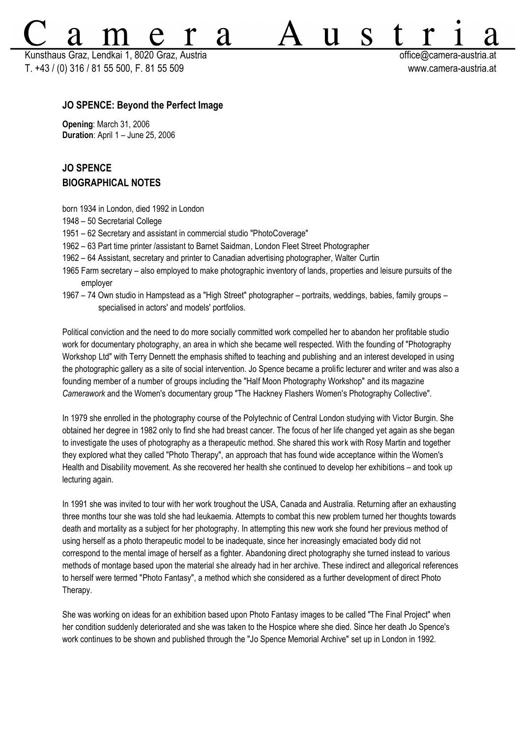Kunsthaus Graz, Lendkai 1, 8020 Graz, Austria **bereikai austria atsessite austria et austria** et controller austria.at T. +43 / (0) 316 / 81 55 500, F. 81 55 509 www.camera-austria.at

S

11

## **JO SPENCE: Beyond the Perfect Image**

**Opening**: March 31, 2006 **Duration**: April 1 – June 25, 2006

# **JO SPENCE BIOGRAPHICAL NOTES**

born 1934 in London, died 1992 in London

- 1948 50 Secretarial College
- 1951 62 Secretary and assistant in commercial studio "PhotoCoverage"
- 1962 63 Part time printer /assistant to Barnet Saidman, London Fleet Street Photographer
- 1962 64 Assistant, secretary and printer to Canadian advertising photographer, Walter Curtin

2d

- 1965 Farm secretary also employed to make photographic inventory of lands, properties and leisure pursuits of the employer
- 1967 74 Own studio in Hampstead as a "High Street" photographer portraits, weddings, babies, family groups specialised in actors' and models' portfolios.

Political conviction and the need to do more socially committed work compelled her to abandon her profitable studio work for documentary photography, an area in which she became well respected. With the founding of "Photography Workshop Ltd" with Terry Dennett the emphasis shifted to teaching and publishing and an interest developed in using the photographic gallery as a site of social intervention. Jo Spence became a prolific lecturer and writer and was also a founding member of a number of groups including the "Half Moon Photography Workshop" and its magazine *Camerawork* and the Women's documentary group "The Hackney Flashers Women's Photography Collective".

In 1979 she enrolled in the photography course of the Polytechnic of Central London studying with Victor Burgin. She obtained her degree in 1982 only to find she had breast cancer. The focus of her life changed yet again as she began to investigate the uses of photography as a therapeutic method. She shared this work with Rosy Martin and together they explored what they called "Photo Therapy", an approach that has found wide acceptance within the Women's Health and Disability movement. As she recovered her health she continued to develop her exhibitions – and took up lecturing again.

In 1991 she was invited to tour with her work troughout the USA, Canada and Australia. Returning after an exhausting three months tour she was told she had leukaemia. Attempts to combat this new problem turned her thoughts towards death and mortality as a subject for her photography. In attempting this new work she found her previous method of using herself as a photo therapeutic model to be inadequate, since her increasingly emaciated body did not correspond to the mental image of herself as a fighter. Abandoning direct photography she turned instead to various methods of montage based upon the material she already had in her archive. These indirect and allegorical references to herself were termed "Photo Fantasy", a method which she considered as a further development of direct Photo Therapy.

She was working on ideas for an exhibition based upon Photo Fantasy images to be called "The Final Project" when her condition suddenly deteriorated and she was taken to the Hospice where she died. Since her death Jo Spence's work continues to be shown and published through the "Jo Spence Memorial Archive" set up in London in 1992.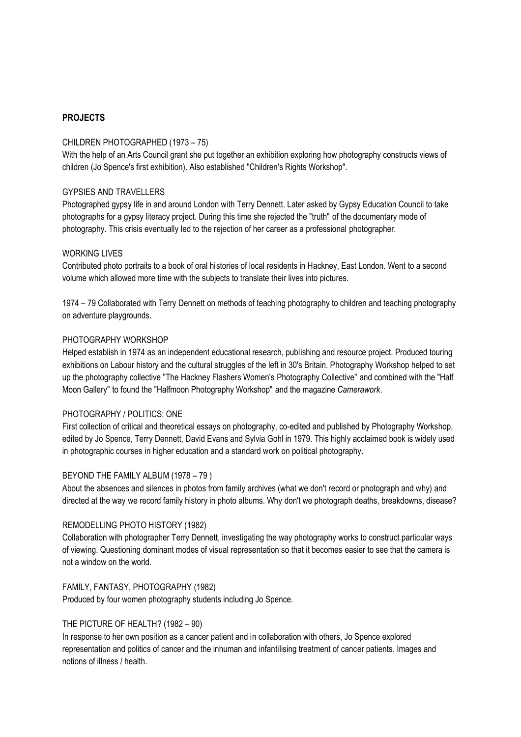## **PROJECTS**

#### CHILDREN PHOTOGRAPHED (1973 – 75)

With the help of an Arts Council grant she put together an exhibition exploring how photography constructs views of children (Jo Spence's first exhibition). Also established "Children's Rights Workshop".

#### GYPSIES AND TRAVELLERS

Photographed gypsy life in and around London with Terry Dennett. Later asked by Gypsy Education Council to take photographs for a gypsy literacy project. During this time she rejected the "truth" of the documentary mode of photography. This crisis eventually led to the rejection of her career as a professional photographer.

#### WORKING LIVES

Contributed photo portraits to a book of oral histories of local residents in Hackney, East London. Went to a second volume which allowed more time with the subjects to translate their lives into pictures.

1974 – 79 Collaborated with Terry Dennett on methods of teaching photography to children and teaching photography on adventure playgrounds.

#### PHOTOGRAPHY WORKSHOP

Helped establish in 1974 as an independent educational research, publishing and resource project. Produced touring exhibitions on Labour history and the cultural struggles of the left in 30's Britain. Photography Workshop helped to set up the photography collective "The Hackney Flashers Women's Photography Collective" and combined with the "Half Moon Gallery" to found the "Halfmoon Photography Workshop" and the magazine *Camerawork*.

#### PHOTOGRAPHY / POLITICS: ONE

First collection of critical and theoretical essays on photography, co-edited and published by Photography Workshop, edited by Jo Spence, Terry Dennett, David Evans and Sylvia Gohl in 1979. This highly acclaimed book is widely used in photographic courses in higher education and a standard work on political photography.

#### BEYOND THE FAMILY ALBUM (1978 – 79 )

About the absences and silences in photos from family archives (what we don't record or photograph and why) and directed at the way we record family history in photo albums. Why don't we photograph deaths, breakdowns, disease?

#### REMODELLING PHOTO HISTORY (1982)

Collaboration with photographer Terry Dennett, investigating the way photography works to construct particular ways of viewing. Questioning dominant modes of visual representation so that it becomes easier to see that the camera is not a window on the world.

## FAMILY, FANTASY, PHOTOGRAPHY (1982)

Produced by four women photography students including Jo Spence.

### THE PICTURE OF HEALTH? (1982 – 90)

In response to her own position as a cancer patient and in collaboration with others, Jo Spence explored representation and politics of cancer and the inhuman and infantilising treatment of cancer patients. Images and notions of illness / health.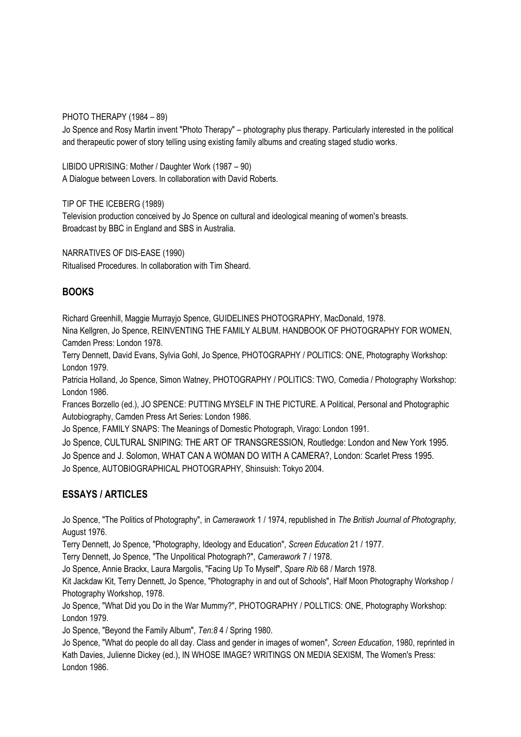## PHOTO THERAPY (1984 – 89)

Jo Spence and Rosy Martin invent "Photo Therapy" – photography plus therapy. Particularly interested in the political and therapeutic power of story telling using existing family albums and creating staged studio works.

LIBIDO UPRISING: Mother / Daughter Work (1987 – 90) A Dialogue between Lovers. In collaboration with David Roberts.

TIP OF THE ICEBERG (1989)

Television production conceived by Jo Spence on cultural and ideological meaning of women's breasts. Broadcast by BBC in England and SBS in Australia.

NARRATIVES OF DIS-EASE (1990) Ritualised Procedures. In collaboration with Tim Sheard.

## **BOOKS**

Richard Greenhill, Maggie Murrayjo Spence, GUIDELINES PHOTOGRAPHY, MacDonald, 1978.

Nina Kellgren, Jo Spence, REINVENTING THE FAMILY ALBUM. HANDBOOK OF PHOTOGRAPHY FOR WOMEN, Camden Press: London 1978.

Terry Dennett, David Evans, Sylvia Gohl, Jo Spence, PHOTOGRAPHY / POLITICS: ONE, Photography Workshop: London 1979.

Patricia Holland, Jo Spence, Simon Watney, PHOTOGRAPHY / POLITICS: TWO, Comedia / Photography Workshop: London 1986.

Frances Borzello (ed.), JO SPENCE: PUTTING MYSELF IN THE PICTURE. A Political, Personal and Photographic Autobiography, Camden Press Art Series: London 1986.

Jo Spence, FAMILY SNAPS: The Meanings of Domestic Photograph, Virago: London 1991.

Jo Spence, CULTURAL SNIPING: THE ART OF TRANSGRESSION, Routledge: London and New York 1995.

Jo Spence and J. Solomon, WHAT CAN A WOMAN DO WITH A CAMERA?, London: Scarlet Press 1995.

Jo Spence, AUTOBIOGRAPHICAL PHOTOGRAPHY, Shinsuish: Tokyo 2004.

## **ESSAYS / ARTICLES**

Jo Spence, "The Politics of Photography", in *Camerawork* 1 / 1974, republished in *The British Journal of Photography,* August 1976.

Terry Dennett, Jo Spence, "Photography, Ideology and Education", *Screen Education* 21 / 1977.

Terry Dennett, Jo Spence, "The Unpolitical Photograph?", *Camerawork* 7 / 1978.

Jo Spence, Annie Brackx, Laura Margolis, "Facing Up To Myself", *Spare Rib* 68 / March 1978.

Kit Jackdaw Kit, Terry Dennett, Jo Spence, "Photography in and out of Schools", Half Moon Photography Workshop / Photography Workshop, 1978.

Jo Spence, "What Did you Do in the War Mummy?", PHOTOGRAPHY / POLLTICS: ONE, Photography Workshop: London 1979.

Jo Spence, "Beyond the Family Album", *Ten:8* 4 / Spring 1980.

Jo Spence, "What do people do all day. Class and gender in images of women", *Screen Education*, 1980, reprinted in Kath Davies, Julienne Dickey (ed.), IN WHOSE IMAGE? WRITINGS ON MEDIA SEXISM, The Women's Press: London 1986.